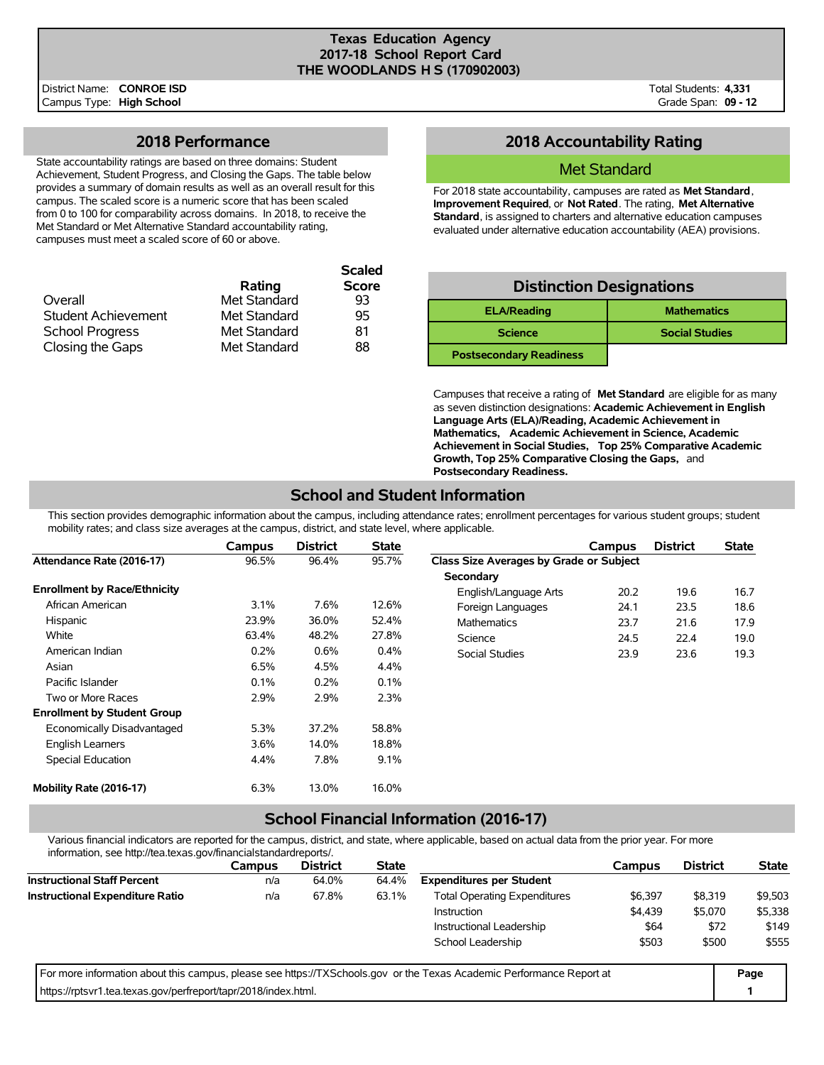#### **Texas Education Agency 2017-18 School Report Card THE WOODLANDS H S (170902003)**

**Scaled**

#### **2018 Performance**

State accountability ratings are based on three domains: Student Achievement, Student Progress, and Closing the Gaps. The table below provides a summary of domain results as well as an overall result for this campus. The scaled score is a numeric score that has been scaled from 0 to 100 for comparability across domains. In 2018, to receive the Met Standard or Met Alternative Standard accountability rating, campuses must meet a scaled score of 60 or above.

|              | Scaleu       |
|--------------|--------------|
| Rating       | <b>Score</b> |
| Met Standard | 93           |
| Met Standard | 95           |
| Met Standard | 81           |
| Met Standard | 88           |
|              |              |

## **2018 Accountability Rating**

#### Met Standard

For 2018 state accountability, campuses are rated as **Met Standard**, **Improvement Required**, or **Not Rated**. The rating, **Met Alternative Standard**, is assigned to charters and alternative education campuses evaluated under alternative education accountability (AEA) provisions.

| <b>Distinction Designations</b> |                       |  |  |  |  |  |  |  |
|---------------------------------|-----------------------|--|--|--|--|--|--|--|
| <b>ELA/Reading</b>              | <b>Mathematics</b>    |  |  |  |  |  |  |  |
| <b>Science</b>                  | <b>Social Studies</b> |  |  |  |  |  |  |  |
| <b>Postsecondary Readiness</b>  |                       |  |  |  |  |  |  |  |

Campuses that receive a rating of **Met Standard** are eligible for as many as seven distinction designations: **Academic Achievement in English Language Arts (ELA)/Reading, Academic Achievement in Mathematics, Academic Achievement in Science, Academic Achievement in Social Studies, Top 25% Comparative Academic Growth, Top 25% Comparative Closing the Gaps,** and **Postsecondary Readiness.**

## **School and Student Information**

This section provides demographic information about the campus, including attendance rates; enrollment percentages for various student groups; student mobility rates; and class size averages at the campus, district, and state level, where applicable.

|                                     | Campus | <b>District</b> | <b>State</b> |                                         | Campus | <b>District</b> | <b>State</b> |
|-------------------------------------|--------|-----------------|--------------|-----------------------------------------|--------|-----------------|--------------|
| Attendance Rate (2016-17)           | 96.5%  | 96.4%           | 95.7%        | Class Size Averages by Grade or Subject |        |                 |              |
|                                     |        |                 |              | Secondary                               |        |                 |              |
| <b>Enrollment by Race/Ethnicity</b> |        |                 |              | English/Language Arts                   | 20.2   | 19.6            | 16.7         |
| African American                    | 3.1%   | 7.6%            | 12.6%        | Foreign Languages                       | 24.1   | 23.5            | 18.6         |
| Hispanic                            | 23.9%  | 36.0%           | 52.4%        | <b>Mathematics</b>                      | 23.7   | 21.6            | 17.9         |
| White                               | 63.4%  | 48.2%           | 27.8%        | Science                                 | 24.5   | 22.4            | 19.0         |
| American Indian                     | 0.2%   | 0.6%            | 0.4%         | Social Studies                          | 23.9   | 23.6            | 19.3         |
| Asian                               | 6.5%   | 4.5%            | 4.4%         |                                         |        |                 |              |
| Pacific Islander                    | 0.1%   | 0.2%            | 0.1%         |                                         |        |                 |              |
| Two or More Races                   | 2.9%   | 2.9%            | 2.3%         |                                         |        |                 |              |
| <b>Enrollment by Student Group</b>  |        |                 |              |                                         |        |                 |              |
| Economically Disadvantaged          | 5.3%   | 37.2%           | 58.8%        |                                         |        |                 |              |
| <b>English Learners</b>             | 3.6%   | 14.0%           | 18.8%        |                                         |        |                 |              |
| Special Education                   | 4.4%   | 7.8%            | 9.1%         |                                         |        |                 |              |
| Mobility Rate (2016-17)             | 6.3%   | 13.0%           | 16.0%        |                                         |        |                 |              |

### **School Financial Information (2016-17)**

Various financial indicators are reported for the campus, district, and state, where applicable, based on actual data from the prior year. For more information, see http://tea.texas.gov/financialstandardreports/.

| illiolitiation, see http://tea.texas.gov/illialicialstandardieports/.                                                |               |                 |              |                                     |         |                 |              |
|----------------------------------------------------------------------------------------------------------------------|---------------|-----------------|--------------|-------------------------------------|---------|-----------------|--------------|
|                                                                                                                      | <b>Campus</b> | <b>District</b> | <b>State</b> |                                     | Campus  | <b>District</b> | <b>State</b> |
| <b>Instructional Staff Percent</b>                                                                                   | n/a           | 64.0%           | 64.4%        | <b>Expenditures per Student</b>     |         |                 |              |
| <b>Instructional Expenditure Ratio</b>                                                                               | n/a           | 67.8%           | 63.1%        | <b>Total Operating Expenditures</b> | \$6.397 | \$8,319         | \$9,503      |
|                                                                                                                      |               |                 |              | Instruction                         | \$4,439 | \$5,070         | \$5,338      |
|                                                                                                                      |               |                 |              | Instructional Leadership            | \$64    | \$72            | \$149        |
|                                                                                                                      |               |                 |              | School Leadership                   | \$503   | \$500           | \$555        |
| For more information about this campus, please see https://TXSchools.gov or the Texas Academic Performance Report at |               |                 |              |                                     |         |                 | Page         |
| https://rptsyr1.tea.texas.gov/perfreport/tapr/2018/index.html.                                                       |               |                 |              |                                     |         |                 |              |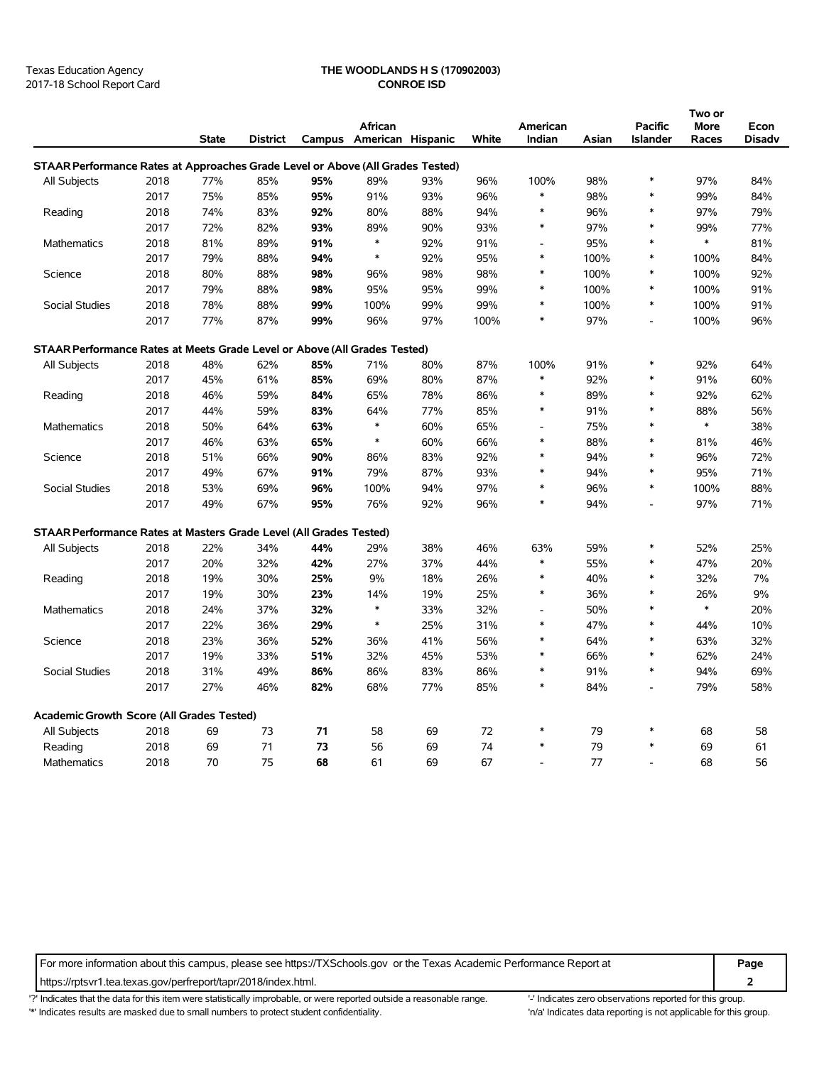#### Texas Education Agency **THE WOODLANDS H S (170902003)** 2017-18 School Report Card **CONROE ISD**

|                                                                                |      |              |                 |     |                                     |     |              |                    |       |                                   | Two or        |                       |
|--------------------------------------------------------------------------------|------|--------------|-----------------|-----|-------------------------------------|-----|--------------|--------------------|-------|-----------------------------------|---------------|-----------------------|
|                                                                                |      | <b>State</b> | <b>District</b> |     | African<br>Campus American Hispanic |     | <b>White</b> | American<br>Indian | Asian | <b>Pacific</b><br><b>Islander</b> | More<br>Races | Econ<br><b>Disadv</b> |
| STAAR Performance Rates at Approaches Grade Level or Above (All Grades Tested) |      |              |                 |     |                                     |     |              |                    |       |                                   |               |                       |
| All Subjects                                                                   | 2018 | 77%          | 85%             | 95% | 89%                                 | 93% | 96%          | 100%               | 98%   | $\ast$                            | 97%           | 84%                   |
|                                                                                | 2017 | 75%          | 85%             | 95% | 91%                                 | 93% | 96%          | $\ast$             | 98%   | $\ast$                            | 99%           | 84%                   |
| Reading                                                                        | 2018 | 74%          | 83%             | 92% | 80%                                 | 88% | 94%          | $\ast$             | 96%   | $\ast$                            | 97%           | 79%                   |
|                                                                                | 2017 | 72%          | 82%             | 93% | 89%                                 | 90% | 93%          | $\ast$             | 97%   | $\ast$                            | 99%           | 77%                   |
| Mathematics                                                                    | 2018 | 81%          | 89%             | 91% | $\ast$                              | 92% | 91%          |                    | 95%   | $\ast$                            | $\ast$        | 81%                   |
|                                                                                | 2017 | 79%          | 88%             | 94% | $\ast$                              | 92% | 95%          | $\ast$             | 100%  | $\ast$                            | 100%          | 84%                   |
| Science                                                                        | 2018 | 80%          | 88%             | 98% | 96%                                 | 98% | 98%          | $\ast$             | 100%  | *                                 | 100%          | 92%                   |
|                                                                                | 2017 | 79%          | 88%             | 98% | 95%                                 | 95% | 99%          | ∗                  | 100%  | *                                 | 100%          | 91%                   |
| Social Studies                                                                 | 2018 | 78%          | 88%             | 99% | 100%                                | 99% | 99%          | $\ast$             | 100%  | $\ast$                            | 100%          | 91%                   |
|                                                                                | 2017 | 77%          | 87%             | 99% | 96%                                 | 97% | 100%         | $\ast$             | 97%   | $\overline{\phantom{a}}$          | 100%          | 96%                   |
| STAAR Performance Rates at Meets Grade Level or Above (All Grades Tested)      |      |              |                 |     |                                     |     |              |                    |       |                                   |               |                       |
| All Subjects                                                                   | 2018 | 48%          | 62%             | 85% | 71%                                 | 80% | 87%          | 100%               | 91%   | $\ast$                            | 92%           | 64%                   |
|                                                                                | 2017 | 45%          | 61%             | 85% | 69%                                 | 80% | 87%          | $\ast$             | 92%   | *                                 | 91%           | 60%                   |
| Reading                                                                        | 2018 | 46%          | 59%             | 84% | 65%                                 | 78% | 86%          | $\ast$             | 89%   | $\ast$                            | 92%           | 62%                   |
|                                                                                | 2017 | 44%          | 59%             | 83% | 64%                                 | 77% | 85%          | $\ast$             | 91%   | $\ast$                            | 88%           | 56%                   |
| Mathematics                                                                    | 2018 | 50%          | 64%             | 63% | $\ast$                              | 60% | 65%          | $\blacksquare$     | 75%   | $\ast$                            | $\ast$        | 38%                   |
| 2017                                                                           |      | 46%          | 63%             | 65% | $\ast$                              | 60% | 66%          | $\ast$             | 88%   | *                                 | 81%           | 46%                   |
| Science                                                                        | 2018 | 51%          | 66%             | 90% | 86%                                 | 83% | 92%          | $\ast$             | 94%   | *                                 | 96%           | 72%                   |
|                                                                                | 2017 | 49%          | 67%             | 91% | 79%                                 | 87% | 93%          | $\ast$             | 94%   | $\ast$                            | 95%           | 71%                   |
| Social Studies                                                                 | 2018 | 53%          | 69%             | 96% | 100%                                | 94% | 97%          | $\ast$             | 96%   | $\ast$                            | 100%          | 88%                   |
|                                                                                | 2017 | 49%          | 67%             | 95% | 76%                                 | 92% | 96%          | $\ast$             | 94%   | $\overline{a}$                    | 97%           | 71%                   |
| STAAR Performance Rates at Masters Grade Level (All Grades Tested)             |      |              |                 |     |                                     |     |              |                    |       |                                   |               |                       |
| All Subjects                                                                   | 2018 | 22%          | 34%             | 44% | 29%                                 | 38% | 46%          | 63%                | 59%   | *                                 | 52%           | 25%                   |
|                                                                                | 2017 | 20%          | 32%             | 42% | 27%                                 | 37% | 44%          | $\ast$             | 55%   | *                                 | 47%           | 20%                   |
| Reading                                                                        | 2018 | 19%          | 30%             | 25% | 9%                                  | 18% | 26%          | $\ast$             | 40%   | $\ast$                            | 32%           | 7%                    |
|                                                                                | 2017 | 19%          | 30%             | 23% | 14%                                 | 19% | 25%          | $\ast$             | 36%   | $\ast$                            | 26%           | 9%                    |
| Mathematics                                                                    | 2018 | 24%          | 37%             | 32% | $\ast$                              | 33% | 32%          |                    | 50%   | $\ast$                            | $\ast$        | 20%                   |
|                                                                                | 2017 | 22%          | 36%             | 29% | $\ast$                              | 25% | 31%          | $\ast$             | 47%   | $\ast$                            | 44%           | 10%                   |
| Science                                                                        | 2018 | 23%          | 36%             | 52% | 36%                                 | 41% | 56%          | $\ast$             | 64%   | $\ast$                            | 63%           | 32%                   |
|                                                                                | 2017 | 19%          | 33%             | 51% | 32%                                 | 45% | 53%          | $\ast$             | 66%   | $\ast$                            | 62%           | 24%                   |
| Social Studies                                                                 | 2018 | 31%          | 49%             | 86% | 86%                                 | 83% | 86%          | $\ast$             | 91%   | $\ast$                            | 94%           | 69%                   |
|                                                                                | 2017 | 27%          | 46%             | 82% | 68%                                 | 77% | 85%          | $\ast$             | 84%   | $\overline{a}$                    | 79%           | 58%                   |
| Academic Growth Score (All Grades Tested)                                      |      |              |                 |     |                                     |     |              |                    |       |                                   |               |                       |
| All Subjects                                                                   | 2018 | 69           | 73              | 71  | 58                                  | 69  | 72           | $\ast$             | 79    | $\ast$                            | 68            | 58                    |
| Reading                                                                        | 2018 | 69           | 71              | 73  | 56                                  | 69  | 74           | $\ast$             | 79    | *                                 | 69            | 61                    |
| Mathematics                                                                    | 2018 | 70           | 75              | 68  | 61                                  | 69  | 67           |                    | 77    |                                   | 68            | 56                    |

For more information about this campus, please see https://TXSchools.gov or the Texas Academic Performance Report at **Page** https://rptsvr1.tea.texas.gov/perfreport/tapr/2018/index.html. **2**

'?' Indicates that the data for this item were statistically improbable, or were reported outside a reasonable range. "Indicates zero observations reported for this group. '\*' Indicates results are masked due to small numbers to protect student confidentiality. 'n/a' Indicates data reporting is not applicable for this group.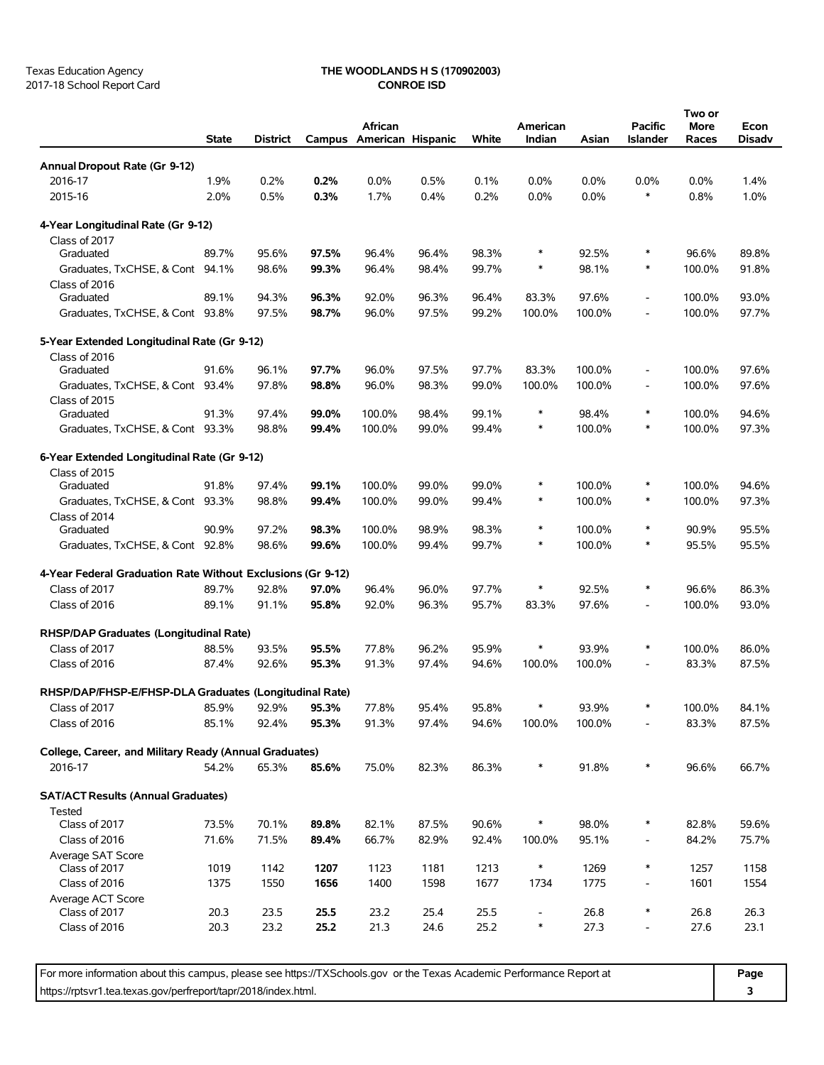## Texas Education Agency **THE WOODLANDS H S (170902003)**

|                                                             | <b>State</b> | <b>District</b> |       | African<br>Campus American Hispanic |       | White | American<br>Indian       | Asian   | <b>Pacific</b><br><b>Islander</b> | Two or<br>More<br>Races | Econ<br>Disadv |
|-------------------------------------------------------------|--------------|-----------------|-------|-------------------------------------|-------|-------|--------------------------|---------|-----------------------------------|-------------------------|----------------|
| Annual Dropout Rate (Gr 9-12)                               |              |                 |       |                                     |       |       |                          |         |                                   |                         |                |
| 2016-17                                                     | 1.9%         | 0.2%            | 0.2%  | 0.0%                                | 0.5%  | 0.1%  | 0.0%                     | $0.0\%$ | 0.0%                              | $0.0\%$                 | 1.4%           |
| 2015-16                                                     | 2.0%         | 0.5%            | 0.3%  | 1.7%                                | 0.4%  | 0.2%  | 0.0%                     | 0.0%    | *                                 | 0.8%                    | 1.0%           |
| 4-Year Longitudinal Rate (Gr 9-12)                          |              |                 |       |                                     |       |       |                          |         |                                   |                         |                |
| Class of 2017                                               |              |                 |       |                                     |       |       |                          |         |                                   |                         |                |
| Graduated                                                   | 89.7%        | 95.6%           | 97.5% | 96.4%                               | 96.4% | 98.3% | $\ast$                   | 92.5%   | $\ast$                            | 96.6%                   | 89.8%          |
| Graduates, TxCHSE, & Cont 94.1%<br>Class of 2016            |              | 98.6%           | 99.3% | 96.4%                               | 98.4% | 99.7% | $\ast$                   | 98.1%   | $\ast$                            | 100.0%                  | 91.8%          |
| Graduated                                                   | 89.1%        | 94.3%           | 96.3% | 92.0%                               | 96.3% | 96.4% | 83.3%                    | 97.6%   | $\overline{\phantom{a}}$          | 100.0%                  | 93.0%          |
| Graduates, TxCHSE, & Cont 93.8%                             |              | 97.5%           | 98.7% | 96.0%                               | 97.5% | 99.2% | 100.0%                   | 100.0%  | $\overline{a}$                    | 100.0%                  | 97.7%          |
| 5-Year Extended Longitudinal Rate (Gr 9-12)                 |              |                 |       |                                     |       |       |                          |         |                                   |                         |                |
| Class of 2016                                               |              |                 |       |                                     |       |       |                          |         |                                   |                         |                |
| Graduated                                                   | 91.6%        | 96.1%           | 97.7% | 96.0%                               | 97.5% | 97.7% | 83.3%                    | 100.0%  | $\overline{\phantom{a}}$          | 100.0%                  | 97.6%          |
| Graduates, TxCHSE, & Cont 93.4%                             |              | 97.8%           | 98.8% | 96.0%                               | 98.3% | 99.0% | 100.0%                   | 100.0%  | $\overline{\phantom{a}}$          | 100.0%                  | 97.6%          |
| Class of 2015<br>Graduated                                  | 91.3%        | 97.4%           | 99.0% | 100.0%                              | 98.4% | 99.1% | $\ast$                   | 98.4%   | $\ast$                            | 100.0%                  | 94.6%          |
| Graduates, TxCHSE, & Cont 93.3%                             |              | 98.8%           | 99.4% | 100.0%                              | 99.0% | 99.4% | $\ast$                   | 100.0%  | $\ast$                            | 100.0%                  | 97.3%          |
|                                                             |              |                 |       |                                     |       |       |                          |         |                                   |                         |                |
| 6-Year Extended Longitudinal Rate (Gr 9-12)                 |              |                 |       |                                     |       |       |                          |         |                                   |                         |                |
| Class of 2015<br>Graduated                                  | 91.8%        | 97.4%           | 99.1% | 100.0%                              | 99.0% | 99.0% | $\ast$                   | 100.0%  | $\ast$                            | 100.0%                  | 94.6%          |
| Graduates, TxCHSE, & Cont                                   | 93.3%        | 98.8%           | 99.4% | 100.0%                              | 99.0% | 99.4% | $\ast$                   | 100.0%  | $\ast$                            | 100.0%                  | 97.3%          |
| Class of 2014                                               |              |                 |       |                                     |       |       |                          |         |                                   |                         |                |
| Graduated                                                   | 90.9%        | 97.2%           | 98.3% | 100.0%                              | 98.9% | 98.3% | $\ast$                   | 100.0%  | $\ast$                            | 90.9%                   | 95.5%          |
| Graduates, TxCHSE, & Cont 92.8%                             |              | 98.6%           | 99.6% | 100.0%                              | 99.4% | 99.7% | $\ast$                   | 100.0%  | $\ast$                            | 95.5%                   | 95.5%          |
| 4-Year Federal Graduation Rate Without Exclusions (Gr 9-12) |              |                 |       |                                     |       |       |                          |         |                                   |                         |                |
| Class of 2017                                               | 89.7%        | 92.8%           | 97.0% | 96.4%                               | 96.0% | 97.7% | $\ast$                   | 92.5%   | $\ast$                            | 96.6%                   | 86.3%          |
| Class of 2016                                               | 89.1%        | 91.1%           | 95.8% | 92.0%                               | 96.3% | 95.7% | 83.3%                    | 97.6%   | $\overline{\phantom{a}}$          | 100.0%                  | 93.0%          |
|                                                             |              |                 |       |                                     |       |       |                          |         |                                   |                         |                |
| RHSP/DAP Graduates (Longitudinal Rate)                      |              |                 |       |                                     |       |       |                          |         |                                   |                         |                |
| Class of 2017                                               | 88.5%        | 93.5%           | 95.5% | 77.8%                               | 96.2% | 95.9% | $\ast$                   | 93.9%   | $\ast$                            | 100.0%                  | 86.0%          |
| Class of 2016                                               | 87.4%        | 92.6%           | 95.3% | 91.3%                               | 97.4% | 94.6% | 100.0%                   | 100.0%  | $\overline{\phantom{a}}$          | 83.3%                   | 87.5%          |
| RHSP/DAP/FHSP-E/FHSP-DLA Graduates (Longitudinal Rate)      |              |                 |       |                                     |       |       |                          |         |                                   |                         |                |
| Class of 2017                                               | 85.9%        | 92.9%           | 95.3% | 77.8%                               | 95.4% | 95.8% | $\ast$                   | 93.9%   | $\ast$                            | 100.0%                  | 84.1%          |
| Class of 2016                                               | 85.1%        | 92.4%           | 95.3% | 91.3%                               | 97.4% | 94.6% | 100.0%                   | 100.0%  |                                   | 83.3%                   | 87.5%          |
| College, Career, and Military Ready (Annual Graduates)      |              |                 |       |                                     |       |       |                          |         |                                   |                         |                |
| 2016-17                                                     | 54.2%        | 65.3%           | 85.6% | 75.0%                               | 82.3% | 86.3% | $\ast$                   | 91.8%   | $\ast$                            | 96.6%                   | 66.7%          |
| <b>SAT/ACT Results (Annual Graduates)</b>                   |              |                 |       |                                     |       |       |                          |         |                                   |                         |                |
| <b>Tested</b>                                               |              |                 |       |                                     |       | 90.6% | $\ast$                   |         | $\ast$                            |                         |                |
| Class of 2017                                               | 73.5%        | 70.1%           | 89.8% | 82.1%                               | 87.5% |       |                          | 98.0%   |                                   | 82.8%                   | 59.6%          |
| Class of 2016<br>Average SAT Score                          | 71.6%        | 71.5%           | 89.4% | 66.7%                               | 82.9% | 92.4% | 100.0%                   | 95.1%   | $\overline{\phantom{a}}$          | 84.2%                   | 75.7%          |
| Class of 2017                                               | 1019         | 1142            | 1207  | 1123                                | 1181  | 1213  | $\ast$                   | 1269    | $\ast$                            | 1257                    | 1158           |
| Class of 2016                                               | 1375         | 1550            | 1656  | 1400                                | 1598  | 1677  | 1734                     | 1775    | $\overline{\phantom{a}}$          | 1601                    | 1554           |
| Average ACT Score                                           |              |                 |       |                                     |       |       |                          |         |                                   |                         |                |
| Class of 2017                                               | 20.3         | 23.5            | 25.5  | 23.2                                | 25.4  | 25.5  | $\overline{\phantom{a}}$ | 26.8    | $\ast$                            | 26.8                    | 26.3           |
| Class of 2016                                               | 20.3         | 23.2            | 25.2  | 21.3                                | 24.6  | 25.2  | $\ast$                   | 27.3    | $\frac{1}{2}$                     | 27.6                    | 23.1           |

For more information about this campus, please see https://TXSchools.gov or the Texas Academic Performance Report at **Page** https://rptsvr1.tea.texas.gov/perfreport/tapr/2018/index.html. **3**